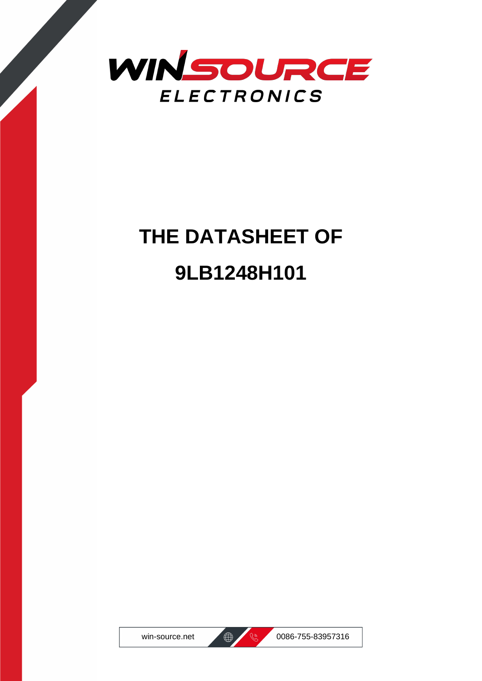

# **THE DATASHEET OF 9LB1248H101**





win-source.net  $\bigoplus$   $\bigotimes$  0086-755-83957316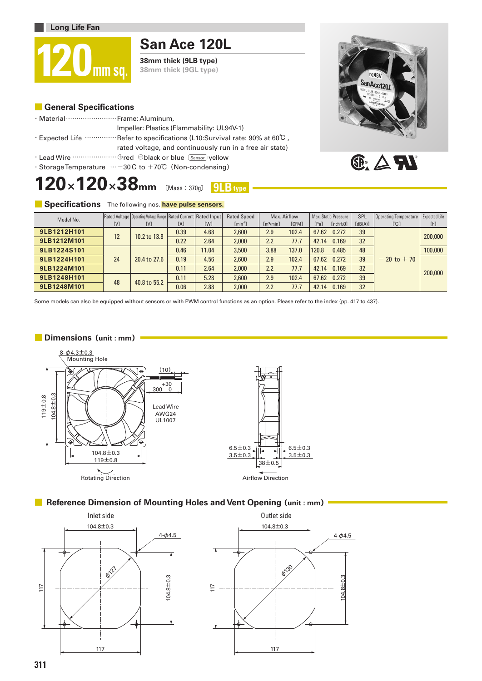





#### **■ Specifications** The following nos. **have pulse sensors.**

| Model No.   |     | Rated Voltage   Operating Voltage Range   Rated Current   Rated Input |      |            | <b>Rated Speed</b> | Max. Airflow<br>Max. Static Pressure |              |       | SPL                    | Operating Temperature | Expected Life  |         |
|-------------|-----|-----------------------------------------------------------------------|------|------------|--------------------|--------------------------------------|--------------|-------|------------------------|-----------------------|----------------|---------|
|             | [V] | [V]                                                                   | [A]  | <b>TWT</b> | $[min^{-1}]$       | [m <sup>3</sup> /min]                | <b>TCFM1</b> | [Pa]  | [inchH <sub>2</sub> 0] | [dB(A)]               | [°C]           | [h]     |
| 9LB1212H101 | 12  | 10.2 to 13.8                                                          | 0.39 | 4.68       | 2.600              | 2.9                                  | 102.4        | 67.62 | 0.272                  | 39                    | $-20$ to $+70$ | 200,000 |
| 9LB1212M101 |     |                                                                       | 0.22 | 2.64       | 2,000              | 2.2                                  | 77.7         | 42.14 | 0.169                  | 32                    |                |         |
| 9LB1224S101 | 24  | 20.4 to 27.6                                                          | 0.46 | 11.04      | 3.500              | 3.88                                 | 137.0        | 120.8 | 0.485                  | 48                    |                | 100,000 |
| 9LB1224H101 |     |                                                                       | 0.19 | 4.56       | 2,600              | 2.9                                  | 102.4        | 67.62 | 0.272                  | 39                    |                | 200,000 |
| 9LB1224M101 |     |                                                                       | 0.11 | 2.64       | 2.000              | 2.2                                  | 77.7         | 42.14 | 0.169                  | 32                    |                |         |
| 9LB1248H101 | 48  | 40.8 to 55.2                                                          | 0.11 | 5.28       | 2,600              | 2.9                                  | 102.4        | 67.62 | 0.272                  | 39                    |                |         |
| 9LB1248M101 |     |                                                                       | 0.06 | 2.88       | 2,000              | 2.2                                  | 77.7         | 42.14 | 0.169                  | 32                    |                |         |

Some models can also be equipped without sensors or with PWM control functions as an option. Please refer to the index (pp. 417 to 437).

#### **■ Dimensions(unit : mm)**



## ■ **Reference Dimension of Mounting Holes and Vent Opening (unit: mm)**